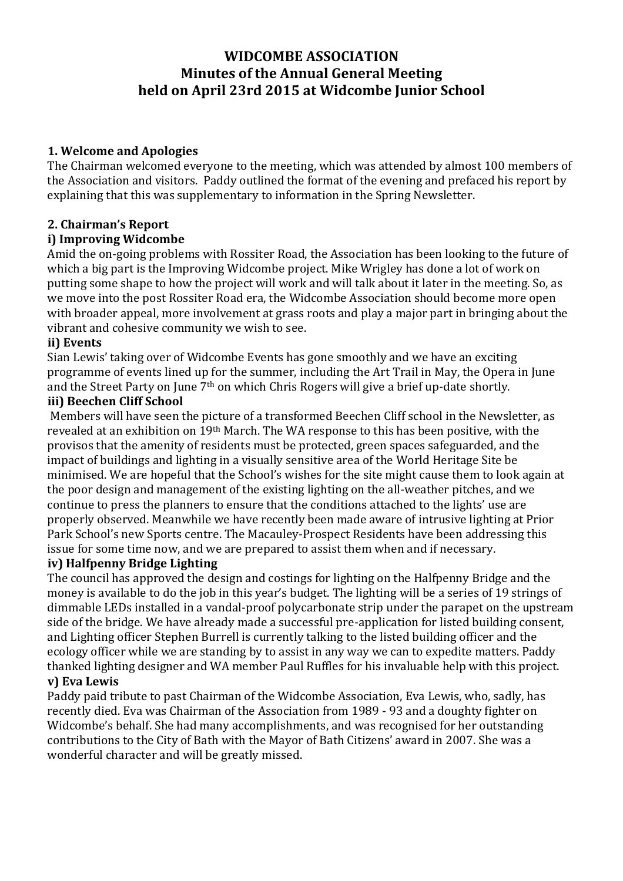# **WIDCOMBE ASSOCIATION Minutes of the Annual General Meeting held on April 23rd 2015 at Widcombe Junior School**

# **1. Welcome and Apologies**

The Chairman welcomed everyone to the meeting, which was attended by almost 100 members of the Association and visitors. Paddy outlined the format of the evening and prefaced his report by explaining that this was supplementary to information in the Spring Newsletter.

# **2. Chairman's Report**

# **i) Improving Widcombe**

Amid the on-going problems with Rossiter Road, the Association has been looking to the future of which a big part is the Improving Widcombe project. Mike Wrigley has done a lot of work on putting some shape to how the project will work and will talk about it later in the meeting. So, as we move into the post Rossiter Road era, the Widcombe Association should become more open with broader appeal, more involvement at grass roots and play a major part in bringing about the vibrant and cohesive community we wish to see.

#### **ii) Events**

Sian Lewis' taking over of Widcombe Events has gone smoothly and we have an exciting programme of events lined up for the summer, including the Art Trail in May, the Opera in June and the Street Party on June 7th on which Chris Rogers will give a brief up-date shortly.

### **iii) Beechen Cliff School**

Members will have seen the picture of a transformed Beechen Cliff school in the Newsletter, as revealed at an exhibition on 19th March. The WA response to this has been positive, with the provisos that the amenity of residents must be protected, green spaces safeguarded, and the impact of buildings and lighting in a visually sensitive area of the World Heritage Site be minimised. We are hopeful that the School's wishes for the site might cause them to look again at the poor design and management of the existing lighting on the all-weather pitches, and we continue to press the planners to ensure that the conditions attached to the lights' use are properly observed. Meanwhile we have recently been made aware of intrusive lighting at Prior Park School's new Sports centre. The Macauley-Prospect Residents have been addressing this issue for some time now, and we are prepared to assist them when and if necessary.

# **iv) Halfpenny Bridge Lighting**

The council has approved the design and costings for lighting on the Halfpenny Bridge and the money is available to do the job in this year's budget. The lighting will be a series of 19 strings of dimmable LEDs installed in a vandal-proof polycarbonate strip under the parapet on the upstream side of the bridge. We have already made a successful pre-application for listed building consent, and Lighting officer Stephen Burrell is currently talking to the listed building officer and the ecology officer while we are standing by to assist in any way we can to expedite matters. Paddy thanked lighting designer and WA member Paul Ruffles for his invaluable help with this project. **v) Eva Lewis** 

Paddy paid tribute to past Chairman of the Widcombe Association, Eva Lewis, who, sadly, has recently died. Eva was Chairman of the Association from 1989 - 93 and a doughty fighter on Widcombe's behalf. She had many accomplishments, and was recognised for her outstanding contributions to the City of Bath with the Mayor of Bath Citizens' award in 2007. She was a wonderful character and will be greatly missed.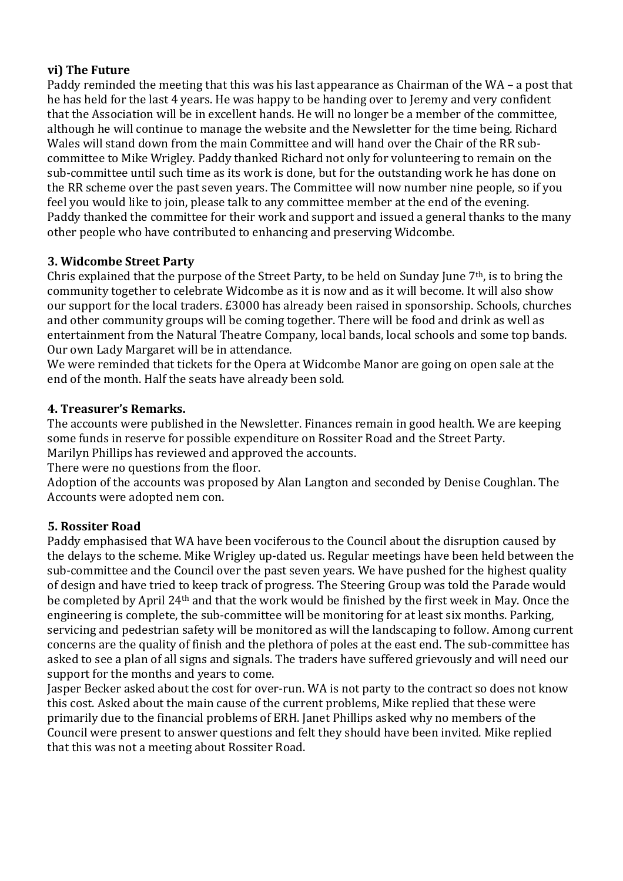# **vi) The Future**

Paddy reminded the meeting that this was his last appearance as Chairman of the WA – a post that he has held for the last 4 years. He was happy to be handing over to Jeremy and very confident that the Association will be in excellent hands. He will no longer be a member of the committee, although he will continue to manage the website and the Newsletter for the time being. Richard Wales will stand down from the main Committee and will hand over the Chair of the RR subcommittee to Mike Wrigley. Paddy thanked Richard not only for volunteering to remain on the sub-committee until such time as its work is done, but for the outstanding work he has done on the RR scheme over the past seven years. The Committee will now number nine people, so if you feel you would like to join, please talk to any committee member at the end of the evening. Paddy thanked the committee for their work and support and issued a general thanks to the many other people who have contributed to enhancing and preserving Widcombe.

### **3. Widcombe Street Party**

Chris explained that the purpose of the Street Party, to be held on Sunday June 7th, is to bring the community together to celebrate Widcombe as it is now and as it will become. It will also show our support for the local traders. £3000 has already been raised in sponsorship. Schools, churches and other community groups will be coming together. There will be food and drink as well as entertainment from the Natural Theatre Company, local bands, local schools and some top bands. Our own Lady Margaret will be in attendance.

We were reminded that tickets for the Opera at Widcombe Manor are going on open sale at the end of the month. Half the seats have already been sold.

### **4. Treasurer's Remarks.**

The accounts were published in the Newsletter. Finances remain in good health. We are keeping some funds in reserve for possible expenditure on Rossiter Road and the Street Party. Marilyn Phillips has reviewed and approved the accounts.

There were no questions from the floor.

Adoption of the accounts was proposed by Alan Langton and seconded by Denise Coughlan. The Accounts were adopted nem con.

#### **5. Rossiter Road**

Paddy emphasised that WA have been vociferous to the Council about the disruption caused by the delays to the scheme. Mike Wrigley up-dated us. Regular meetings have been held between the sub-committee and the Council over the past seven years. We have pushed for the highest quality of design and have tried to keep track of progress. The Steering Group was told the Parade would be completed by April 24th and that the work would be finished by the first week in May. Once the engineering is complete, the sub-committee will be monitoring for at least six months. Parking, servicing and pedestrian safety will be monitored as will the landscaping to follow. Among current concerns are the quality of finish and the plethora of poles at the east end. The sub-committee has asked to see a plan of all signs and signals. The traders have suffered grievously and will need our support for the months and years to come.

Jasper Becker asked about the cost for over-run. WA is not party to the contract so does not know this cost. Asked about the main cause of the current problems, Mike replied that these were primarily due to the financial problems of ERH. Janet Phillips asked why no members of the Council were present to answer questions and felt they should have been invited. Mike replied that this was not a meeting about Rossiter Road.